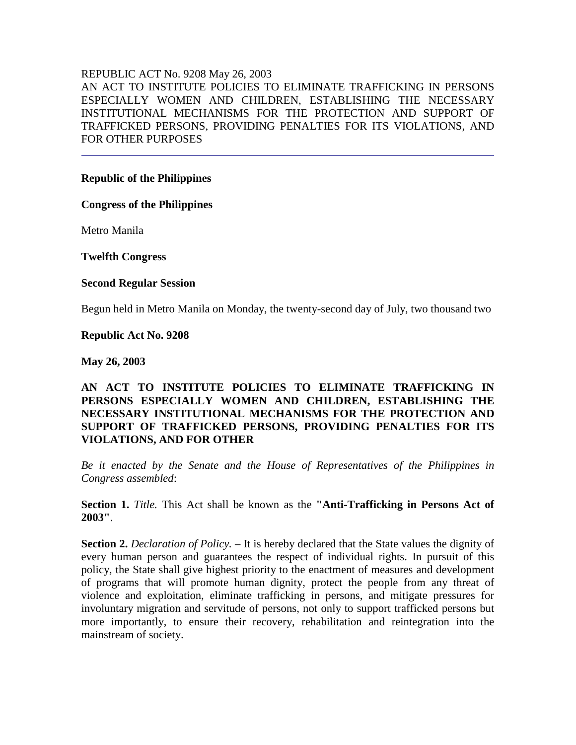#### REPUBLIC ACT No. 9208 May 26, 2003

AN ACT TO INSTITUTE POLICIES TO ELIMINATE TRAFFICKING IN PERSONS ESPECIALLY WOMEN AND CHILDREN, ESTABLISHING THE NECESSARY INSTITUTIONAL MECHANISMS FOR THE PROTECTION AND SUPPORT OF TRAFFICKED PERSONS, PROVIDING PENALTIES FOR ITS VIOLATIONS, AND FOR OTHER PURPOSES

### **Republic of the Philippines**

**Congress of the Philippines**

Metro Manila

**Twelfth Congress**

#### **Second Regular Session**

Begun held in Metro Manila on Monday, the twenty-second day of July, two thousand two

## **Republic Act No. 9208**

**May 26, 2003**

## **AN ACT TO INSTITUTE POLICIES TO ELIMINATE TRAFFICKING IN PERSONS ESPECIALLY WOMEN AND CHILDREN, ESTABLISHING THE NECESSARY INSTITUTIONAL MECHANISMS FOR THE PROTECTION AND SUPPORT OF TRAFFICKED PERSONS, PROVIDING PENALTIES FOR ITS VIOLATIONS, AND FOR OTHER**

*Be it enacted by the Senate and the House of Representatives of the Philippines in Congress assembled*:

**Section 1.** *Title.* This Act shall be known as the **"Anti-Trafficking in Persons Act of 2003"**.

**Section 2.** *Declaration of Policy.* – It is hereby declared that the State values the dignity of every human person and guarantees the respect of individual rights. In pursuit of this policy, the State shall give highest priority to the enactment of measures and development of programs that will promote human dignity, protect the people from any threat of violence and exploitation, eliminate trafficking in persons, and mitigate pressures for involuntary migration and servitude of persons, not only to support trafficked persons but more importantly, to ensure their recovery, rehabilitation and reintegration into the mainstream of society.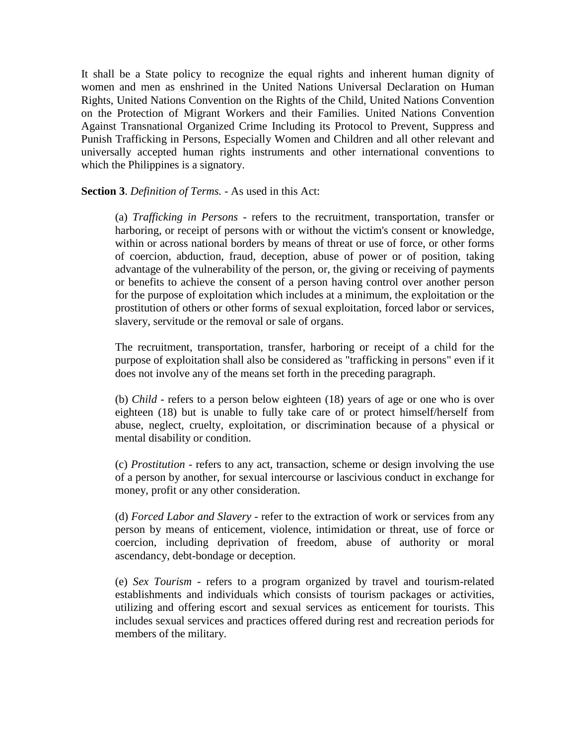It shall be a State policy to recognize the equal rights and inherent human dignity of women and men as enshrined in the United Nations Universal Declaration on Human Rights, United Nations Convention on the Rights of the Child, United Nations Convention on the Protection of Migrant Workers and their Families. United Nations Convention Against Transnational Organized Crime Including its Protocol to Prevent, Suppress and Punish Trafficking in Persons, Especially Women and Children and all other relevant and universally accepted human rights instruments and other international conventions to which the Philippines is a signatory.

**Section 3**. *Definition of Terms.* - As used in this Act:

(a) *Trafficking in Persons* - refers to the recruitment, transportation, transfer or harboring, or receipt of persons with or without the victim's consent or knowledge, within or across national borders by means of threat or use of force, or other forms of coercion, abduction, fraud, deception, abuse of power or of position, taking advantage of the vulnerability of the person, or, the giving or receiving of payments or benefits to achieve the consent of a person having control over another person for the purpose of exploitation which includes at a minimum, the exploitation or the prostitution of others or other forms of sexual exploitation, forced labor or services, slavery, servitude or the removal or sale of organs.

The recruitment, transportation, transfer, harboring or receipt of a child for the purpose of exploitation shall also be considered as "trafficking in persons" even if it does not involve any of the means set forth in the preceding paragraph.

(b) *Child* - refers to a person below eighteen (18) years of age or one who is over eighteen (18) but is unable to fully take care of or protect himself/herself from abuse, neglect, cruelty, exploitation, or discrimination because of a physical or mental disability or condition.

(c) *Prostitution* - refers to any act, transaction, scheme or design involving the use of a person by another, for sexual intercourse or lascivious conduct in exchange for money, profit or any other consideration.

(d) *Forced Labor and Slavery* - refer to the extraction of work or services from any person by means of enticement, violence, intimidation or threat, use of force or coercion, including deprivation of freedom, abuse of authority or moral ascendancy, debt-bondage or deception.

(e) *Sex Tourism* - refers to a program organized by travel and tourism-related establishments and individuals which consists of tourism packages or activities, utilizing and offering escort and sexual services as enticement for tourists. This includes sexual services and practices offered during rest and recreation periods for members of the military.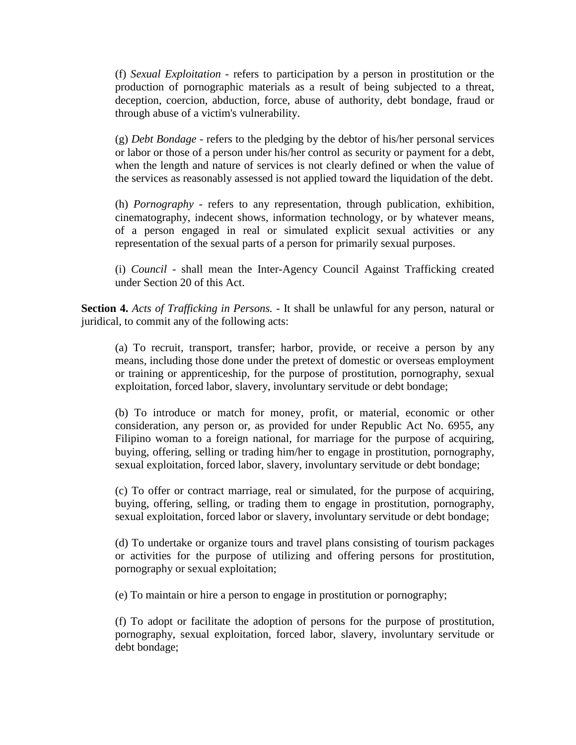(f) *Sexual Exploitation* - refers to participation by a person in prostitution or the production of pornographic materials as a result of being subjected to a threat, deception, coercion, abduction, force, abuse of authority, debt bondage, fraud or through abuse of a victim's vulnerability.

(g) *Debt Bondage* - refers to the pledging by the debtor of his/her personal services or labor or those of a person under his/her control as security or payment for a debt, when the length and nature of services is not clearly defined or when the value of the services as reasonably assessed is not applied toward the liquidation of the debt.

(h) *Pornography* - refers to any representation, through publication, exhibition, cinematography, indecent shows, information technology, or by whatever means, of a person engaged in real or simulated explicit sexual activities or any representation of the sexual parts of a person for primarily sexual purposes.

(i) *Council* - shall mean the Inter-Agency Council Against Trafficking created under Section 20 of this Act.

**Section 4.** *Acts of Trafficking in Persons.* - It shall be unlawful for any person, natural or juridical, to commit any of the following acts:

(a) To recruit, transport, transfer; harbor, provide, or receive a person by any means, including those done under the pretext of domestic or overseas employment or training or apprenticeship, for the purpose of prostitution, pornography, sexual exploitation, forced labor, slavery, involuntary servitude or debt bondage;

(b) To introduce or match for money, profit, or material, economic or other consideration, any person or, as provided for under Republic Act No. 6955, any Filipino woman to a foreign national, for marriage for the purpose of acquiring, buying, offering, selling or trading him/her to engage in prostitution, pornography, sexual exploitation, forced labor, slavery, involuntary servitude or debt bondage;

(c) To offer or contract marriage, real or simulated, for the purpose of acquiring, buying, offering, selling, or trading them to engage in prostitution, pornography, sexual exploitation, forced labor or slavery, involuntary servitude or debt bondage;

(d) To undertake or organize tours and travel plans consisting of tourism packages or activities for the purpose of utilizing and offering persons for prostitution, pornography or sexual exploitation;

(e) To maintain or hire a person to engage in prostitution or pornography;

(f) To adopt or facilitate the adoption of persons for the purpose of prostitution, pornography, sexual exploitation, forced labor, slavery, involuntary servitude or debt bondage;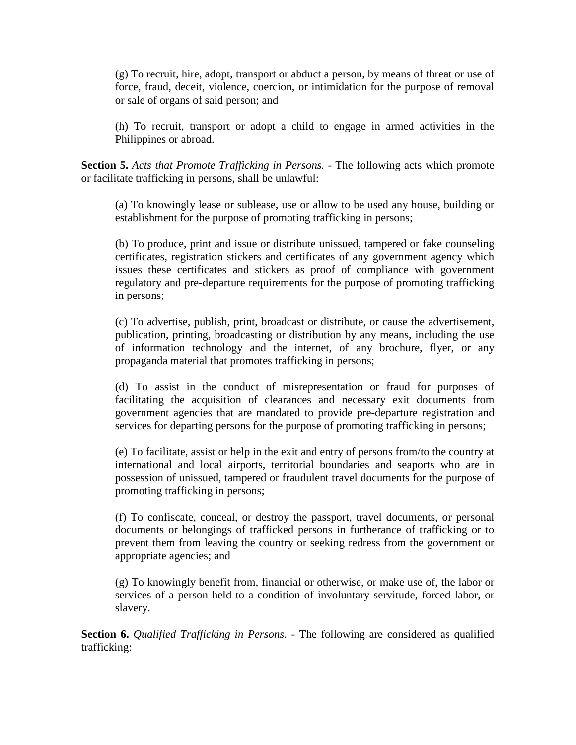(g) To recruit, hire, adopt, transport or abduct a person, by means of threat or use of force, fraud, deceit, violence, coercion, or intimidation for the purpose of removal or sale of organs of said person; and

(h) To recruit, transport or adopt a child to engage in armed activities in the Philippines or abroad.

**Section 5.** *Acts that Promote Trafficking in Persons.* - The following acts which promote or facilitate trafficking in persons, shall be unlawful:

(a) To knowingly lease or sublease, use or allow to be used any house, building or establishment for the purpose of promoting trafficking in persons;

(b) To produce, print and issue or distribute unissued, tampered or fake counseling certificates, registration stickers and certificates of any government agency which issues these certificates and stickers as proof of compliance with government regulatory and pre-departure requirements for the purpose of promoting trafficking in persons;

(c) To advertise, publish, print, broadcast or distribute, or cause the advertisement, publication, printing, broadcasting or distribution by any means, including the use of information technology and the internet, of any brochure, flyer, or any propaganda material that promotes trafficking in persons;

(d) To assist in the conduct of misrepresentation or fraud for purposes of facilitating the acquisition of clearances and necessary exit documents from government agencies that are mandated to provide pre-departure registration and services for departing persons for the purpose of promoting trafficking in persons;

(e) To facilitate, assist or help in the exit and entry of persons from/to the country at international and local airports, territorial boundaries and seaports who are in possession of unissued, tampered or fraudulent travel documents for the purpose of promoting trafficking in persons;

(f) To confiscate, conceal, or destroy the passport, travel documents, or personal documents or belongings of trafficked persons in furtherance of trafficking or to prevent them from leaving the country or seeking redress from the government or appropriate agencies; and

(g) To knowingly benefit from, financial or otherwise, or make use of, the labor or services of a person held to a condition of involuntary servitude, forced labor, or slavery.

**Section 6.** *Qualified Trafficking in Persons.* - The following are considered as qualified trafficking: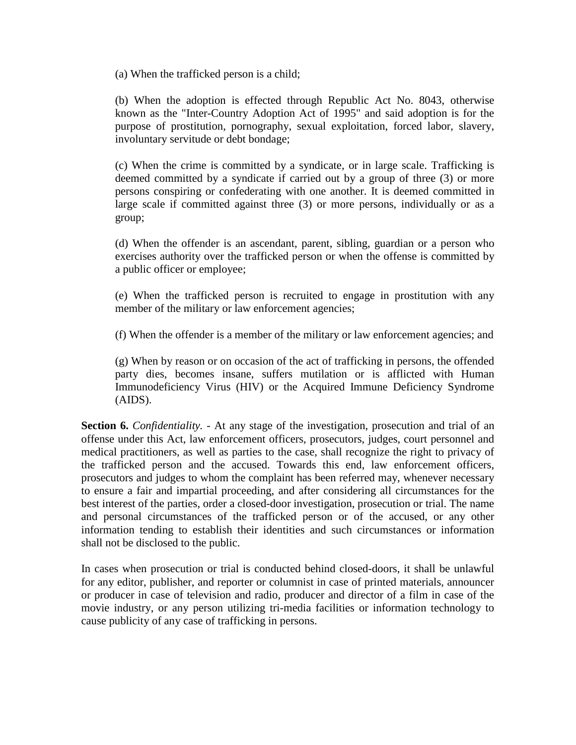(a) When the trafficked person is a child;

(b) When the adoption is effected through Republic Act No. 8043, otherwise known as the "Inter-Country Adoption Act of 1995" and said adoption is for the purpose of prostitution, pornography, sexual exploitation, forced labor, slavery, involuntary servitude or debt bondage;

(c) When the crime is committed by a syndicate, or in large scale. Trafficking is deemed committed by a syndicate if carried out by a group of three (3) or more persons conspiring or confederating with one another. It is deemed committed in large scale if committed against three (3) or more persons, individually or as a group;

(d) When the offender is an ascendant, parent, sibling, guardian or a person who exercises authority over the trafficked person or when the offense is committed by a public officer or employee;

(e) When the trafficked person is recruited to engage in prostitution with any member of the military or law enforcement agencies;

(f) When the offender is a member of the military or law enforcement agencies; and

(g) When by reason or on occasion of the act of trafficking in persons, the offended party dies, becomes insane, suffers mutilation or is afflicted with Human Immunodeficiency Virus (HIV) or the Acquired Immune Deficiency Syndrome (AIDS).

**Section 6.** *Confidentiality.* - At any stage of the investigation, prosecution and trial of an offense under this Act, law enforcement officers, prosecutors, judges, court personnel and medical practitioners, as well as parties to the case, shall recognize the right to privacy of the trafficked person and the accused. Towards this end, law enforcement officers, prosecutors and judges to whom the complaint has been referred may, whenever necessary to ensure a fair and impartial proceeding, and after considering all circumstances for the best interest of the parties, order a closed-door investigation, prosecution or trial. The name and personal circumstances of the trafficked person or of the accused, or any other information tending to establish their identities and such circumstances or information shall not be disclosed to the public.

In cases when prosecution or trial is conducted behind closed-doors, it shall be unlawful for any editor, publisher, and reporter or columnist in case of printed materials, announcer or producer in case of television and radio, producer and director of a film in case of the movie industry, or any person utilizing tri-media facilities or information technology to cause publicity of any case of trafficking in persons.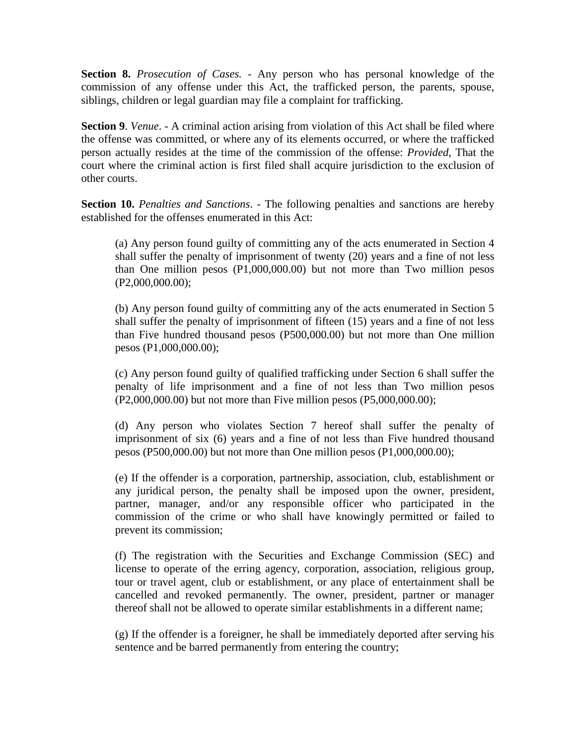**Section 8.** *Prosecution of Cases.* - Any person who has personal knowledge of the commission of any offense under this Act, the trafficked person, the parents, spouse, siblings, children or legal guardian may file a complaint for trafficking.

**Section 9**. *Venue*. - A criminal action arising from violation of this Act shall be filed where the offense was committed, or where any of its elements occurred, or where the trafficked person actually resides at the time of the commission of the offense: *Provided*, That the court where the criminal action is first filed shall acquire jurisdiction to the exclusion of other courts.

**Section 10.** *Penalties and Sanctions*. - The following penalties and sanctions are hereby established for the offenses enumerated in this Act:

(a) Any person found guilty of committing any of the acts enumerated in Section 4 shall suffer the penalty of imprisonment of twenty (20) years and a fine of not less than One million pesos (P1,000,000.00) but not more than Two million pesos (P2,000,000.00);

(b) Any person found guilty of committing any of the acts enumerated in Section 5 shall suffer the penalty of imprisonment of fifteen (15) years and a fine of not less than Five hundred thousand pesos (P500,000.00) but not more than One million pesos (P1,000,000.00);

(c) Any person found guilty of qualified trafficking under Section 6 shall suffer the penalty of life imprisonment and a fine of not less than Two million pesos (P2,000,000.00) but not more than Five million pesos (P5,000,000.00);

(d) Any person who violates Section 7 hereof shall suffer the penalty of imprisonment of six (6) years and a fine of not less than Five hundred thousand pesos (P500,000.00) but not more than One million pesos (P1,000,000.00);

(e) If the offender is a corporation, partnership, association, club, establishment or any juridical person, the penalty shall be imposed upon the owner, president, partner, manager, and/or any responsible officer who participated in the commission of the crime or who shall have knowingly permitted or failed to prevent its commission;

(f) The registration with the Securities and Exchange Commission (SEC) and license to operate of the erring agency, corporation, association, religious group, tour or travel agent, club or establishment, or any place of entertainment shall be cancelled and revoked permanently. The owner, president, partner or manager thereof shall not be allowed to operate similar establishments in a different name;

(g) If the offender is a foreigner, he shall be immediately deported after serving his sentence and be barred permanently from entering the country;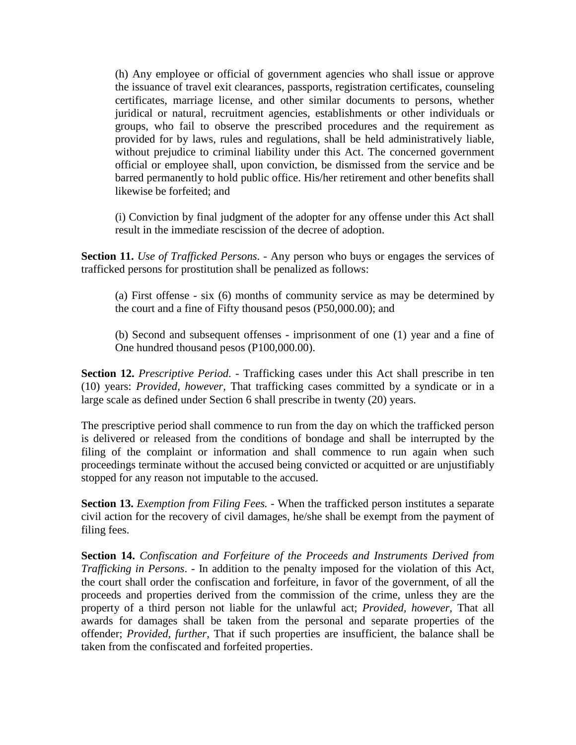(h) Any employee or official of government agencies who shall issue or approve the issuance of travel exit clearances, passports, registration certificates, counseling certificates, marriage license, and other similar documents to persons, whether juridical or natural, recruitment agencies, establishments or other individuals or groups, who fail to observe the prescribed procedures and the requirement as provided for by laws, rules and regulations, shall be held administratively liable, without prejudice to criminal liability under this Act. The concerned government official or employee shall, upon conviction, be dismissed from the service and be barred permanently to hold public office. His/her retirement and other benefits shall likewise be forfeited; and

(i) Conviction by final judgment of the adopter for any offense under this Act shall result in the immediate rescission of the decree of adoption.

**Section 11.** *Use of Trafficked Persons*. - Any person who buys or engages the services of trafficked persons for prostitution shall be penalized as follows:

(a) First offense - six (6) months of community service as may be determined by the court and a fine of Fifty thousand pesos (P50,000.00); and

(b) Second and subsequent offenses - imprisonment of one (1) year and a fine of One hundred thousand pesos (P100,000.00).

**Section 12.** *Prescriptive Period*. - Trafficking cases under this Act shall prescribe in ten (10) years: *Provided, however,* That trafficking cases committed by a syndicate or in a large scale as defined under Section 6 shall prescribe in twenty (20) years.

The prescriptive period shall commence to run from the day on which the trafficked person is delivered or released from the conditions of bondage and shall be interrupted by the filing of the complaint or information and shall commence to run again when such proceedings terminate without the accused being convicted or acquitted or are unjustifiably stopped for any reason not imputable to the accused.

**Section 13.** *Exemption from Filing Fees.* - When the trafficked person institutes a separate civil action for the recovery of civil damages, he/she shall be exempt from the payment of filing fees.

**Section 14.** *Confiscation and Forfeiture of the Proceeds and Instruments Derived from Trafficking in Persons*. - In addition to the penalty imposed for the violation of this Act, the court shall order the confiscation and forfeiture, in favor of the government, of all the proceeds and properties derived from the commission of the crime, unless they are the property of a third person not liable for the unlawful act; *Provided, however,* That all awards for damages shall be taken from the personal and separate properties of the offender; *Provided, further,* That if such properties are insufficient, the balance shall be taken from the confiscated and forfeited properties.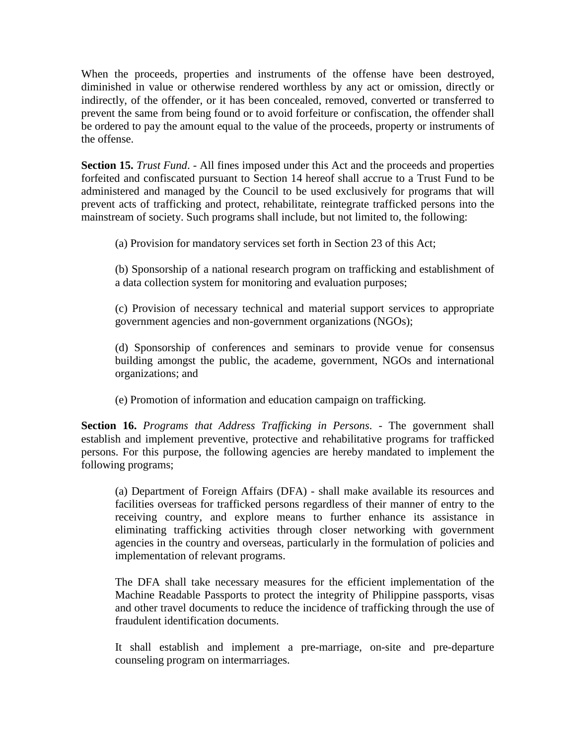When the proceeds, properties and instruments of the offense have been destroyed, diminished in value or otherwise rendered worthless by any act or omission, directly or indirectly, of the offender, or it has been concealed, removed, converted or transferred to prevent the same from being found or to avoid forfeiture or confiscation, the offender shall be ordered to pay the amount equal to the value of the proceeds, property or instruments of the offense.

**Section 15.** *Trust Fund*. - All fines imposed under this Act and the proceeds and properties forfeited and confiscated pursuant to Section 14 hereof shall accrue to a Trust Fund to be administered and managed by the Council to be used exclusively for programs that will prevent acts of trafficking and protect, rehabilitate, reintegrate trafficked persons into the mainstream of society. Such programs shall include, but not limited to, the following:

(a) Provision for mandatory services set forth in Section 23 of this Act;

(b) Sponsorship of a national research program on trafficking and establishment of a data collection system for monitoring and evaluation purposes;

(c) Provision of necessary technical and material support services to appropriate government agencies and non-government organizations (NGOs);

(d) Sponsorship of conferences and seminars to provide venue for consensus building amongst the public, the academe, government, NGOs and international organizations; and

(e) Promotion of information and education campaign on trafficking.

**Section 16.** *Programs that Address Trafficking in Persons*. - The government shall establish and implement preventive, protective and rehabilitative programs for trafficked persons. For this purpose, the following agencies are hereby mandated to implement the following programs;

(a) Department of Foreign Affairs (DFA) - shall make available its resources and facilities overseas for trafficked persons regardless of their manner of entry to the receiving country, and explore means to further enhance its assistance in eliminating trafficking activities through closer networking with government agencies in the country and overseas, particularly in the formulation of policies and implementation of relevant programs.

The DFA shall take necessary measures for the efficient implementation of the Machine Readable Passports to protect the integrity of Philippine passports, visas and other travel documents to reduce the incidence of trafficking through the use of fraudulent identification documents.

It shall establish and implement a pre-marriage, on-site and pre-departure counseling program on intermarriages.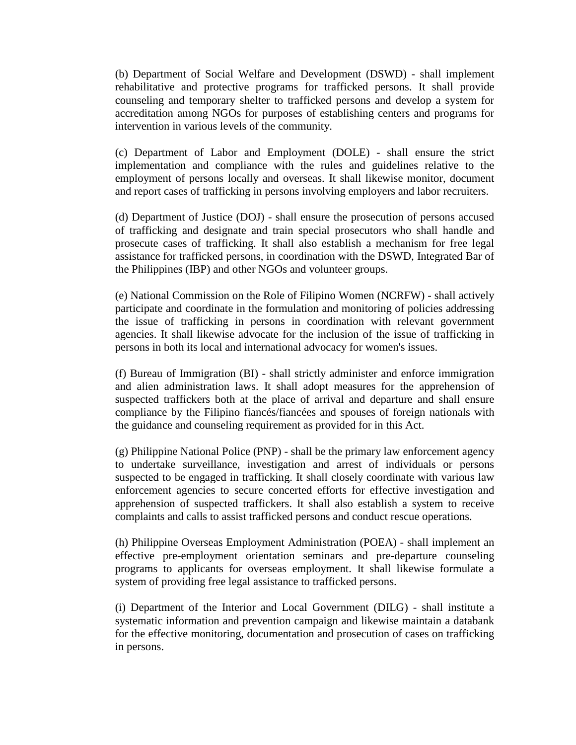(b) Department of Social Welfare and Development (DSWD) - shall implement rehabilitative and protective programs for trafficked persons. It shall provide counseling and temporary shelter to trafficked persons and develop a system for accreditation among NGOs for purposes of establishing centers and programs for intervention in various levels of the community.

(c) Department of Labor and Employment (DOLE) - shall ensure the strict implementation and compliance with the rules and guidelines relative to the employment of persons locally and overseas. It shall likewise monitor, document and report cases of trafficking in persons involving employers and labor recruiters.

(d) Department of Justice (DOJ) - shall ensure the prosecution of persons accused of trafficking and designate and train special prosecutors who shall handle and prosecute cases of trafficking. It shall also establish a mechanism for free legal assistance for trafficked persons, in coordination with the DSWD, Integrated Bar of the Philippines (IBP) and other NGOs and volunteer groups.

(e) National Commission on the Role of Filipino Women (NCRFW) - shall actively participate and coordinate in the formulation and monitoring of policies addressing the issue of trafficking in persons in coordination with relevant government agencies. It shall likewise advocate for the inclusion of the issue of trafficking in persons in both its local and international advocacy for women's issues.

(f) Bureau of Immigration (BI) - shall strictly administer and enforce immigration and alien administration laws. It shall adopt measures for the apprehension of suspected traffickers both at the place of arrival and departure and shall ensure compliance by the Filipino fiancés/fiancées and spouses of foreign nationals with the guidance and counseling requirement as provided for in this Act.

(g) Philippine National Police (PNP) - shall be the primary law enforcement agency to undertake surveillance, investigation and arrest of individuals or persons suspected to be engaged in trafficking. It shall closely coordinate with various law enforcement agencies to secure concerted efforts for effective investigation and apprehension of suspected traffickers. It shall also establish a system to receive complaints and calls to assist trafficked persons and conduct rescue operations.

(h) Philippine Overseas Employment Administration (POEA) - shall implement an effective pre-employment orientation seminars and pre-departure counseling programs to applicants for overseas employment. It shall likewise formulate a system of providing free legal assistance to trafficked persons.

(i) Department of the Interior and Local Government (DILG) - shall institute a systematic information and prevention campaign and likewise maintain a databank for the effective monitoring, documentation and prosecution of cases on trafficking in persons.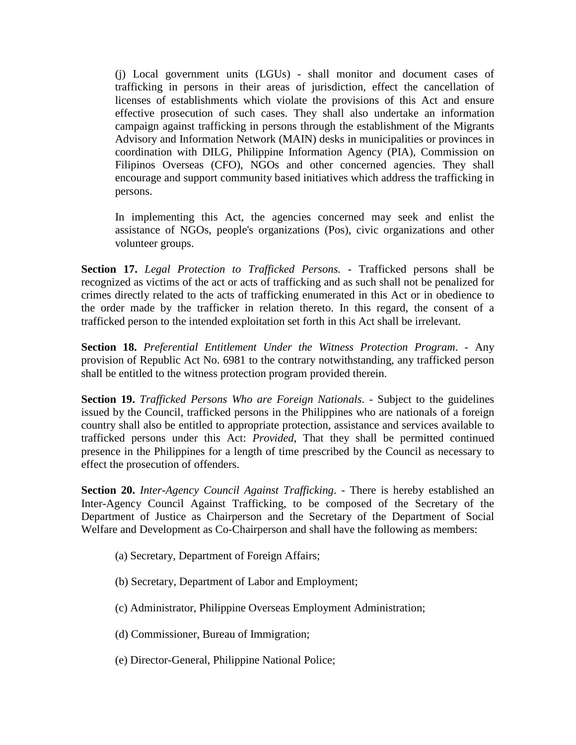(j) Local government units (LGUs) - shall monitor and document cases of trafficking in persons in their areas of jurisdiction, effect the cancellation of licenses of establishments which violate the provisions of this Act and ensure effective prosecution of such cases. They shall also undertake an information campaign against trafficking in persons through the establishment of the Migrants Advisory and Information Network (MAIN) desks in municipalities or provinces in coordination with DILG, Philippine Information Agency (PIA), Commission on Filipinos Overseas (CFO), NGOs and other concerned agencies. They shall encourage and support community based initiatives which address the trafficking in persons.

In implementing this Act, the agencies concerned may seek and enlist the assistance of NGOs, people's organizations (Pos), civic organizations and other volunteer groups.

**Section 17.** *Legal Protection to Trafficked Persons.* - Trafficked persons shall be recognized as victims of the act or acts of trafficking and as such shall not be penalized for crimes directly related to the acts of trafficking enumerated in this Act or in obedience to the order made by the trafficker in relation thereto. In this regard, the consent of a trafficked person to the intended exploitation set forth in this Act shall be irrelevant.

**Section 18.** *Preferential Entitlement Under the Witness Protection Program*. - Any provision of Republic Act No. 6981 to the contrary notwithstanding, any trafficked person shall be entitled to the witness protection program provided therein.

**Section 19.** *Trafficked Persons Who are Foreign Nationals*. - Subject to the guidelines issued by the Council, trafficked persons in the Philippines who are nationals of a foreign country shall also be entitled to appropriate protection, assistance and services available to trafficked persons under this Act: *Provided*, That they shall be permitted continued presence in the Philippines for a length of time prescribed by the Council as necessary to effect the prosecution of offenders.

**Section 20.** *Inter-Agency Council Against Trafficking*. - There is hereby established an Inter-Agency Council Against Trafficking, to be composed of the Secretary of the Department of Justice as Chairperson and the Secretary of the Department of Social Welfare and Development as Co-Chairperson and shall have the following as members:

- (a) Secretary, Department of Foreign Affairs;
- (b) Secretary, Department of Labor and Employment;
- (c) Administrator, Philippine Overseas Employment Administration;
- (d) Commissioner, Bureau of Immigration;
- (e) Director-General, Philippine National Police;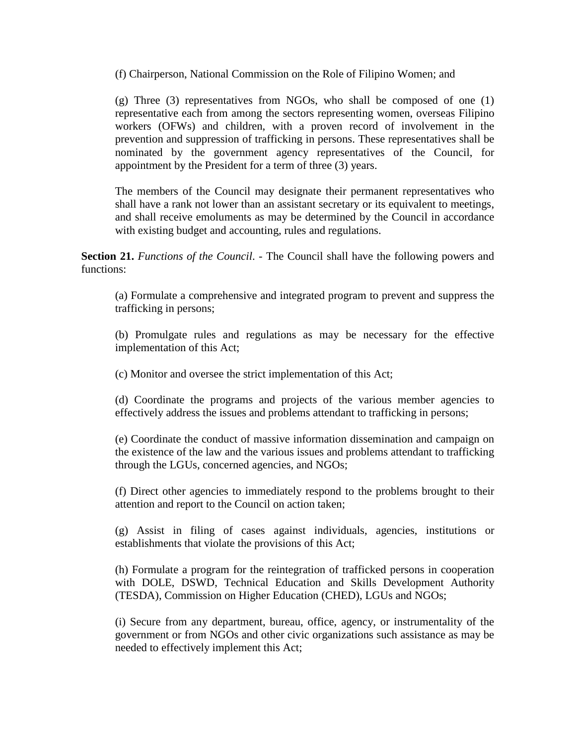(f) Chairperson, National Commission on the Role of Filipino Women; and

 $(g)$  Three (3) representatives from NGOs, who shall be composed of one (1) representative each from among the sectors representing women, overseas Filipino workers (OFWs) and children, with a proven record of involvement in the prevention and suppression of trafficking in persons. These representatives shall be nominated by the government agency representatives of the Council, for appointment by the President for a term of three (3) years.

The members of the Council may designate their permanent representatives who shall have a rank not lower than an assistant secretary or its equivalent to meetings, and shall receive emoluments as may be determined by the Council in accordance with existing budget and accounting, rules and regulations.

**Section 21.** *Functions of the Council.* - The Council shall have the following powers and functions:

(a) Formulate a comprehensive and integrated program to prevent and suppress the trafficking in persons;

(b) Promulgate rules and regulations as may be necessary for the effective implementation of this Act;

(c) Monitor and oversee the strict implementation of this Act;

(d) Coordinate the programs and projects of the various member agencies to effectively address the issues and problems attendant to trafficking in persons;

(e) Coordinate the conduct of massive information dissemination and campaign on the existence of the law and the various issues and problems attendant to trafficking through the LGUs, concerned agencies, and NGOs;

(f) Direct other agencies to immediately respond to the problems brought to their attention and report to the Council on action taken;

(g) Assist in filing of cases against individuals, agencies, institutions or establishments that violate the provisions of this Act;

(h) Formulate a program for the reintegration of trafficked persons in cooperation with DOLE, DSWD, Technical Education and Skills Development Authority (TESDA), Commission on Higher Education (CHED), LGUs and NGOs;

(i) Secure from any department, bureau, office, agency, or instrumentality of the government or from NGOs and other civic organizations such assistance as may be needed to effectively implement this Act;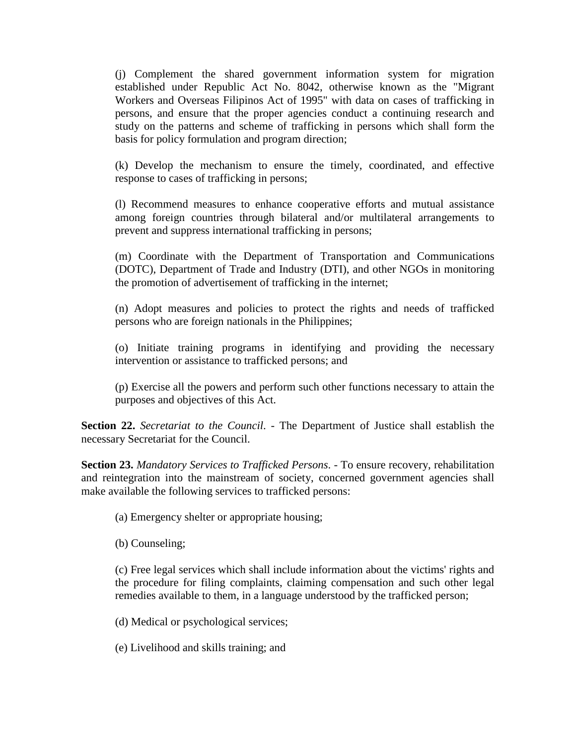(j) Complement the shared government information system for migration established under Republic Act No. 8042, otherwise known as the "Migrant Workers and Overseas Filipinos Act of 1995" with data on cases of trafficking in persons, and ensure that the proper agencies conduct a continuing research and study on the patterns and scheme of trafficking in persons which shall form the basis for policy formulation and program direction;

(k) Develop the mechanism to ensure the timely, coordinated, and effective response to cases of trafficking in persons;

(l) Recommend measures to enhance cooperative efforts and mutual assistance among foreign countries through bilateral and/or multilateral arrangements to prevent and suppress international trafficking in persons;

(m) Coordinate with the Department of Transportation and Communications (DOTC), Department of Trade and Industry (DTI), and other NGOs in monitoring the promotion of advertisement of trafficking in the internet;

(n) Adopt measures and policies to protect the rights and needs of trafficked persons who are foreign nationals in the Philippines;

(o) Initiate training programs in identifying and providing the necessary intervention or assistance to trafficked persons; and

(p) Exercise all the powers and perform such other functions necessary to attain the purposes and objectives of this Act.

**Section 22.** *Secretariat to the Council*. - The Department of Justice shall establish the necessary Secretariat for the Council.

**Section 23.** *Mandatory Services to Trafficked Persons*. - To ensure recovery, rehabilitation and reintegration into the mainstream of society, concerned government agencies shall make available the following services to trafficked persons:

(a) Emergency shelter or appropriate housing;

(b) Counseling;

(c) Free legal services which shall include information about the victims' rights and the procedure for filing complaints, claiming compensation and such other legal remedies available to them, in a language understood by the trafficked person;

(d) Medical or psychological services;

(e) Livelihood and skills training; and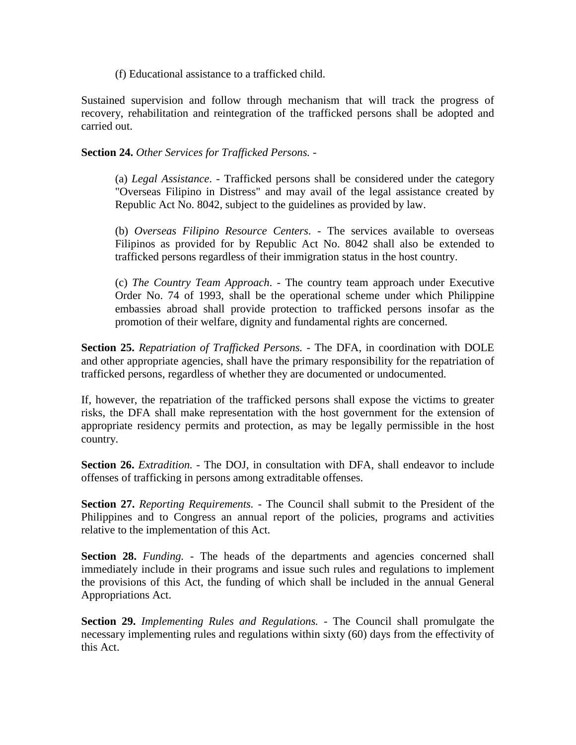(f) Educational assistance to a trafficked child.

Sustained supervision and follow through mechanism that will track the progress of recovery, rehabilitation and reintegration of the trafficked persons shall be adopted and carried out.

# **Section 24.** *Other Services for Trafficked Persons.* -

(a) *Legal Assistance*. - Trafficked persons shall be considered under the category "Overseas Filipino in Distress" and may avail of the legal assistance created by Republic Act No. 8042, subject to the guidelines as provided by law.

(b) *Overseas Filipino Resource Centers*. - The services available to overseas Filipinos as provided for by Republic Act No. 8042 shall also be extended to trafficked persons regardless of their immigration status in the host country.

(c) *The Country Team Approach*. - The country team approach under Executive Order No. 74 of 1993, shall be the operational scheme under which Philippine embassies abroad shall provide protection to trafficked persons insofar as the promotion of their welfare, dignity and fundamental rights are concerned.

**Section 25.** *Repatriation of Trafficked Persons. -* The DFA, in coordination with DOLE and other appropriate agencies, shall have the primary responsibility for the repatriation of trafficked persons, regardless of whether they are documented or undocumented.

If, however, the repatriation of the trafficked persons shall expose the victims to greater risks, the DFA shall make representation with the host government for the extension of appropriate residency permits and protection, as may be legally permissible in the host country.

**Section 26.** *Extradition. -* The DOJ, in consultation with DFA, shall endeavor to include offenses of trafficking in persons among extraditable offenses.

**Section 27.** *Reporting Requirements. -* The Council shall submit to the President of the Philippines and to Congress an annual report of the policies, programs and activities relative to the implementation of this Act.

**Section 28.** *Funding. -* The heads of the departments and agencies concerned shall immediately include in their programs and issue such rules and regulations to implement the provisions of this Act, the funding of which shall be included in the annual General Appropriations Act.

**Section 29.** *Implementing Rules and Regulations. -* The Council shall promulgate the necessary implementing rules and regulations within sixty (60) days from the effectivity of this Act.